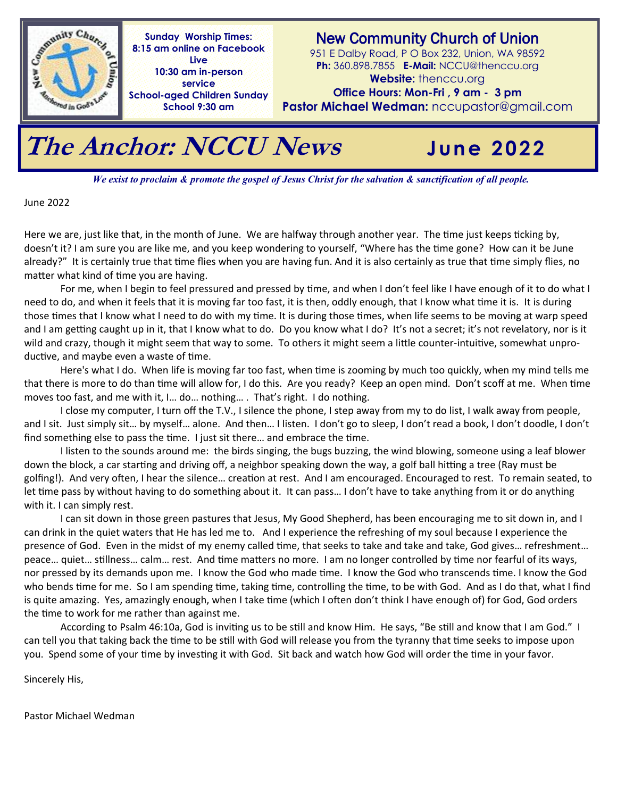

**Sunday Worship Times: 8:15 am online on Facebook Live 10:30 am in-person service School-aged Children Sunday School 9:30 am**

New Community Church of Union

951 E Dalby Road, P O Box 232, Union, WA 98592 **Ph:** 360.898.7855 **E-Mail:** NCCU@thenccu.org **Website:** thenccu.org

**Office Hours: Mon-Fri , 9 am - 3 pm** 

**Pastor Michael Wedman:** nccupastor@gmail.com

## **The Anchor: NCCU News**

**June 2022**

*We exist to proclaim & promote the gospel of Jesus Christ for the salvation & sanctification of all people.* 

June 2022

Here we are, just like that, in the month of June. We are halfway through another year. The time just keeps ticking by, doesn't it? I am sure you are like me, and you keep wondering to yourself, "Where has the time gone? How can it be June already?" It is certainly true that time flies when you are having fun. And it is also certainly as true that time simply flies, no matter what kind of time you are having.

For me, when I begin to feel pressured and pressed by time, and when I don't feel like I have enough of it to do what I need to do, and when it feels that it is moving far too fast, it is then, oddly enough, that I know what time it is. It is during those times that I know what I need to do with my time. It is during those times, when life seems to be moving at warp speed and I am getting caught up in it, that I know what to do. Do you know what I do? It's not a secret; it's not revelatory, nor is it wild and crazy, though it might seem that way to some. To others it might seem a little counter-intuitive, somewhat unproductive, and maybe even a waste of time.

Here's what I do. When life is moving far too fast, when time is zooming by much too quickly, when my mind tells me that there is more to do than time will allow for, I do this. Are you ready? Keep an open mind. Don't scoff at me. When time moves too fast, and me with it, I… do… nothing… . That's right. I do nothing.

I close my computer, I turn off the T.V., I silence the phone, I step away from my to do list, I walk away from people, and I sit. Just simply sit... by myself... alone. And then... I listen. I don't go to sleep, I don't read a book, I don't doodle, I don't find something else to pass the time. I just sit there… and embrace the time.

I listen to the sounds around me: the birds singing, the bugs buzzing, the wind blowing, someone using a leaf blower down the block, a car starting and driving off, a neighbor speaking down the way, a golf ball hitting a tree (Ray must be golfing!). And very often, I hear the silence… creation at rest. And I am encouraged. Encouraged to rest. To remain seated, to let time pass by without having to do something about it. It can pass… I don't have to take anything from it or do anything with it. I can simply rest.

I can sit down in those green pastures that Jesus, My Good Shepherd, has been encouraging me to sit down in, and I can drink in the quiet waters that He has led me to. And I experience the refreshing of my soul because I experience the presence of God. Even in the midst of my enemy called time, that seeks to take and take and take, God gives… refreshment… peace… quiet… stillness… calm… rest. And time matters no more. I am no longer controlled by time nor fearful of its ways, nor pressed by its demands upon me. I know the God who made time. I know the God who transcends time. I know the God who bends time for me. So I am spending time, taking time, controlling the time, to be with God. And as I do that, what I find is quite amazing. Yes, amazingly enough, when I take time (which I often don't think I have enough of) for God, God orders the time to work for me rather than against me.

According to Psalm 46:10a, God is inviting us to be still and know Him. He says, "Be still and know that I am God." I can tell you that taking back the time to be still with God will release you from the tyranny that time seeks to impose upon you. Spend some of your time by investing it with God. Sit back and watch how God will order the time in your favor.

Sincerely His,

Pastor Michael Wedman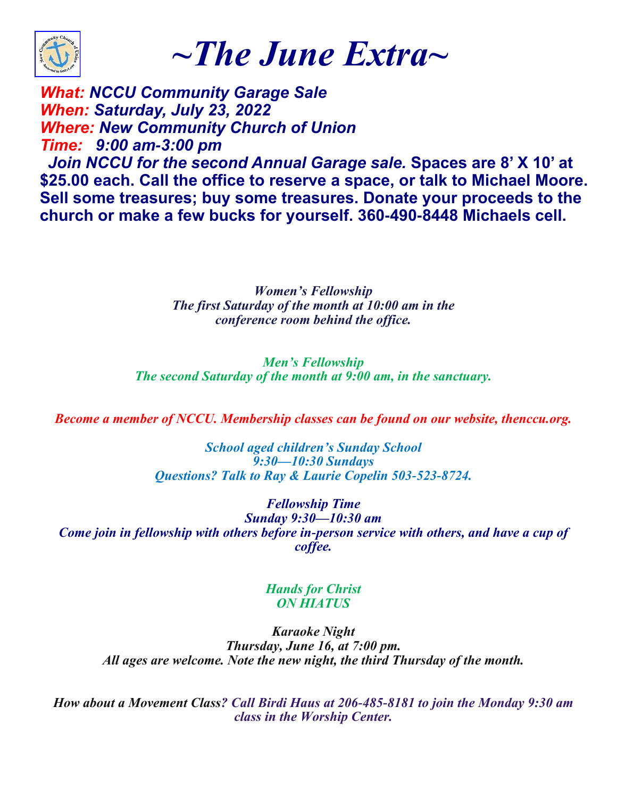

*~The June Extra~*

*What: NCCU Community Garage Sale When: Saturday, July 23, 2022 Where: New Community Church of Union Time: 9:00 am-3:00 pm*

 *Join NCCU for the second Annual Garage sale.* **Spaces are 8' X 10' at \$25.00 each. Call the office to reserve a space, or talk to Michael Moore. Sell some treasures; buy some treasures. Donate your proceeds to the church or make a few bucks for yourself. 360-490-8448 Michaels cell.**

> *Women's Fellowship The first Saturday of the month at 10:00 am in the conference room behind the office.*

*Men's Fellowship The second Saturday of the month at 9:00 am, in the sanctuary.*

*Become a member of NCCU. Membership classes can be found on our website, thenccu.org.*

*School aged children's Sunday School 9:30—10:30 Sundays Questions? Talk to Ray & Laurie Copelin 503-523-8724.*

*Fellowship Time Sunday 9:30—10:30 am Come join in fellowship with others before in-person service with others, and have a cup of coffee.*

## *Hands for Christ ON HIATUS*

*Karaoke Night Thursday, June 16, at 7:00 pm. All ages are welcome. Note the new night, the third Thursday of the month.*

*How about a Movement Class? Call Birdi Haus at 206-485-8181 to join the Monday 9:30 am class in the Worship Center.*